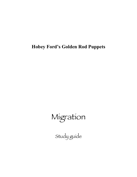**Hobey Ford's Golden Rod Puppets**

# Migration

Study guide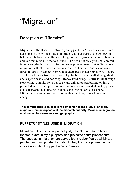## "Migration"

## Desciption of "Migration"

Migration is the story of Beatriz, a young girl from Mexico who must find her home in the world as she immigrates with her Papa to the US leaving behind her beloved grandfather. Her grandfather gives her a book about the animals that must migrate to survive. The book not only gives her comfort in her struggles but also inspires her to help the monarch butterflies whose migration will take them on the same route as her own, and whose winter forest refuge is in danger from woodcutters back in her hometown. Beatriz also learns lessons from the stories of polar bears, a bird called the godwit and a sperm whale and her baby. Hobey Ford brings Beatriz to life through storytelling, bunraku style puppetry and animation performing within a projected video scrim proscenium creating a seamless and almost hypnotic dance between the puppeteer, puppets and original artistic scenery. Migration is a gorgeous production with a touching story of hope and change.

**This performance is an excellent companion to the study of animals, migration, metamorphosis of the monarch butterfly, Mexico, immigration, envirionmental awareness and geography.**

#### PUPPETRY STYLES USED IN MIGRATION

Migration utilizes several puppetry styles including Czech black theater, bunraku style puppetry and projected scrim prosceneum. The puppets in migration are carved foam rubber figures which are painted and manipulated by rods. Hobey Ford is a pioneer in this innovative style of puppet he calls foamies.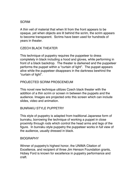### SCRIM

A thin veil of material that when lit from the front appears to be opaque, yet when objects are lit behind the scrim, the scrim appears to become transparent. Scrims have been used for hundreds of years in theater.

## CZECH BLACK THEATER

This technique of puppetry requires the puppeteer to dress completely in black including a hood and gloves, while performing in front of a black backdrop. The theater is darkened and the puppeteer performs the puppet within a "curtain of light". The puppet appears alive while the puppeteer disappears in the darkness bewhind the "curtain of light".

## PROJECTED SCRIM PROSCENEUM

This novel new technique utilizes Czech black theater with the addition of a thin scrim or screen in between the puppets and the audience. Images are projected onto this screen which can include slides, video and animation.

## BUNRAKU STYLE PUPPETRY

This style of puppetry is adapted from traditional Japanese form of bunraku, borrowing the technique of working a puppet in close proximity through rods which control the head arms and legs of the figure. In bunraku style puppetry the puppeteer works in full view of the audience, usually dressed in black.

## BIOGRAPHY

Winner of puppetry's highest honor, the UNIMA Citation of Excellence, and recipient of three Jim Henson Foundation grants, Hobey Ford is known for excellence in puppetry performance and craft.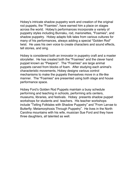Hobey's intricate shadow puppetry work and creation of the original rod puppets, the "Foamies", have earned him a place on stages across the world. Hobey's performances incorporate a variety of puppetry styles including Bunraku, rod, marionettes, "Foamies", and shadow puppetry. Hobey adapts folk tales from various cultures for many of his performances, always adding a special "Golden Rod" twist. He uses his own voice to create characters and sound effects, tell stories, and sing.

Hobey is considered both an innovator in puppetry craft and a master storyteller. He has created both the "Foamies" and the clever hand puppet known as "Peepers". The "Foamies" are large animal puppets carved from blocks of foam. After studying each animal's characteristic movements, Hobey designs various control mechanisms to make the puppets themselves move in a life-like manner. The "Foamies" are presented using both stage and house performance space.

Hobey Ford's Golden Rod Puppets maintain a busy schedule performing and teaching in schools, performing arts centers, museums, libraries, and festivals. Hobey presents shadow puppet workshops for students and teachers. His teacher workshops include "Telling Folktales with Shadow Puppetry" and "From Larvae to Butterfly: Metamorphosis Through Puppetry". He lives in the North Carolina mountains with his wife, musician Sue Ford and they have three daughters, all talented as well.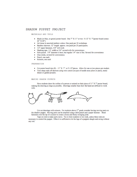#### SHADOW PUPPET PROJECT

MATERIALS AND TOOLS

- Black (or blue, or green) poster board. One 7" X 11" or two 5-1/2" X 7"(poster board comes 22" X 28")
- Art tissue in assorted rainbow colors. One pack per 10 workshops
- · Bamboo skewers. 12" length approx. one pack per 25 participants.
- 1/2" paper fasteners. 3/4" will work
- Masking tape. 1/2' width or 3/4" several rolls for convenience.
- Hole punch. 1/8" diameter is best, but regular 1/4" size is fine. Several for convenience
- Glue sticks, several for convenience.
- Pencil, one each
- · Scissors, one each

#### PREPARATION

- Cut poster board into  $(8) 11$ " X 7" or 5-1/2" pieces. Allow for one or two pieces per student.
- Trim sharp ends off skewers using wire cutters (on pair of needle nose pliers or piers), metal shears or garden pruners.

#### MAKING SHADOW PUPPETS

Have students draw the outline of a person or animal on their piece of 11" X 7" poster board, making the drawing as large as possible. Drawings smaller than their flat hand are difficult to work with.



Cut out drawings with scissors. For students above  $2<sup>nd</sup>$  grade consider having moving parts on the shadow puppet. Moving parts can be attached using a hole punch and a paper fastener. Bend fasteners over the tip of a scissor to create a loose and freely swinging joint.

Tape on rods to make parts move. Try to limit students to two rods, unless three rods are necessary to control the puppet. Often it is sufficient to let the legs of a puppets dangle and swing without any rod.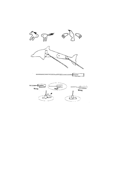

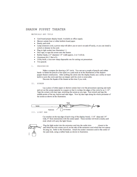#### SHADOW PUPPET THEATER

MATERIALS AND TOOLS

- Card board project display board. Available at office supply.  $\bullet$
- Shower curtain liner or white bulletin board paper.
- Sturdy yard stick.
- Lamp extension cord, a power strip will allow you to turn it on and off easily, or you can install a switch or dimmer in the cord.
- Plug in light socket (see illustration 1.)
- Duct tape, to tape the screen onto the theater.
- Rubber bands, 2-3" diameter 1/4" width approx. 2 or 3 will do.
- Aluminum foil, 3 feet of it.
- Utility knife, a nice new sharp disposable one for cutting out proscenium
- Two pencils

#### т. PROSCENIUM

Make a compass for drawing a 24" circle. You can use a couple of pencils and rubber bands to fasten the pencils a foot apart on a yard stick as in the illustrations of the shadow puppet theater construction. After scribing the circle onto the display board, use a utility or razor knife to score the circle and then cut deeper until the circle is removable. Decorate the façade of the theater at this time if you wish.

II. SCREEN

Lay a piece of either paper or shower curtain liner over the proscenium opening and mark and cut out the screen material in a square so that it overlaps the edges of the circle by an 1-1/2". Tape the corners with duct tape, stretching the screen as you tape. Next stretch and tape the middle points of the top, bottom and side edges. Now lay duct tape along the whole perimeter of the screen as shown in the illustration.



III. LIGHT BAR

Cut notches on the top edge of each wing of the display board, 1-1/4" deep and 1/4" wide, 8" from intersection with the center panel. These notches will hold a sturdy yard stick which will carry the light fixture.



Plug the light socket into the extension cord into the outlet slots closest to the end which the wire comes out of, on the side of the extension cord which has two spaces for plug ins. Refer to the illustration. Attach the socket/ extension cord to the center of the yard stick, using a rubber band, as shown in illustration.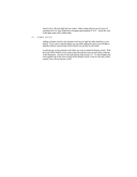Install a 60 to 100 watt light bulb into socket. Make a lamp reflector out of a piece of aluminum foil 3 ft. long, folded into a rectangle approximately 6" X 8". Attach the visor to the light socket with a rubber band.

#### IV. DIMMER SWITCH

Adding a dimmer switch to the extension cord on your light bar adds versatility to your theater. If you want to skip this detail, you can either unplug the cord to turn off light or plug the cord into a power strip which will give you an easy on off switch.

Locate the spot on the extension cord where you want to install the dimmer switch. With the cord UNPLUGGED cut the center crease between the wires several inches, referring to the illustration. Cut one of wires and strip the ends around 1/2". To each stripped end, twist together one of the wires coming off the dimmer switch. Twist on wire nuts, which usually come with the dimmer switch.